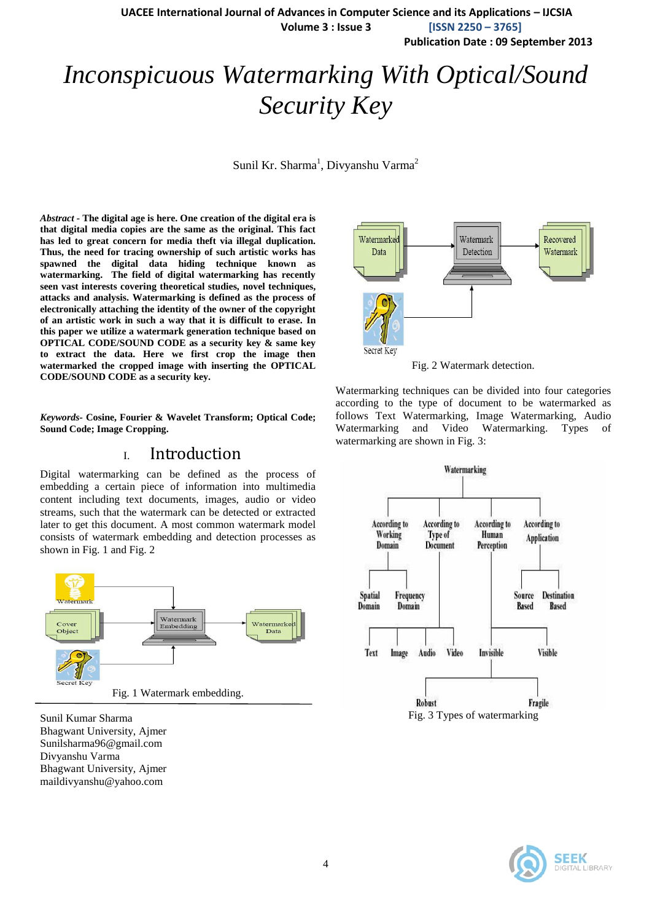**Publication Date : 09 September 2013**

# *Inconspicuous Watermarking With Optical/Sound Security Key*

Sunil Kr. Sharma<sup>1</sup>, Divyanshu Varma<sup>2</sup>

*Abstract -* **The digital age is here. One creation of the digital era is that digital media copies are the same as the original. This fact has led to great concern for media theft via illegal duplication. Thus, the need for tracing ownership of such artistic works has spawned the digital data hiding technique known as watermarking. The field of digital watermarking has recently seen vast interests covering theoretical studies, novel techniques, attacks and analysis. Watermarking is defined as the process of electronically attaching the identity of the owner of the copyright of an artistic work in such a way that it is difficult to erase. In this paper we utilize a watermark generation technique based on OPTICAL CODE/SOUND CODE as a security key & same key to extract the data. Here we first crop the image then watermarked the cropped image with inserting the OPTICAL CODE/SOUND CODE as a security key.**

*Keywords-* **Cosine, Fourier & Wavelet Transform; Optical Code; Sound Code; Image Cropping.**

## I. Introduction

Digital watermarking can be defined as the process of embedding a certain piece of information into multimedia content including text documents, images, audio or video streams, such that the watermark can be detected or extracted later to get this document. A most common watermark model consists of watermark embedding and detection processes as shown in Fig. 1 and Fig. 2



Sunil Kumar Sharma Bhagwant University, Ajmer Sunilsharma96@gmail.com Divyanshu Varma Bhagwant University, Ajmer maildivyanshu@yahoo.com



Fig. 2 Watermark detection.

Watermarking techniques can be divided into four categories according to the type of document to be watermarked as follows Text Watermarking, Image Watermarking, Audio Watermarking and Video Watermarking. Types of watermarking are shown in Fig. 3:



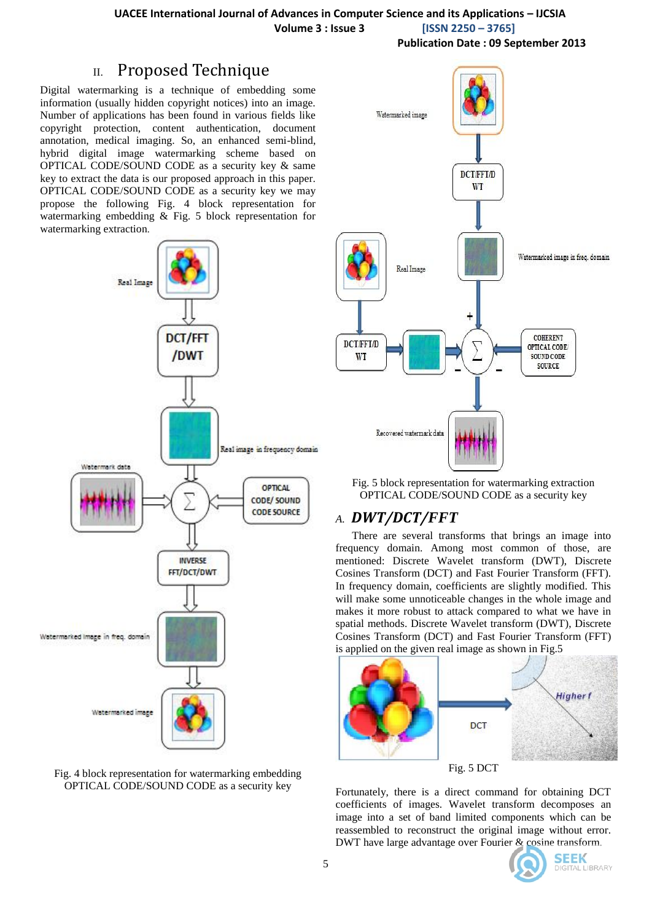**Volume 3 : Issue 3 [ISSN 2250 – 3765]**

**Publication Date : 09 September 2013**

## II. Proposed Technique

Digital watermarking is a technique of embedding some information (usually hidden copyright notices) into an image. Number of applications has been found in various fields like copyright protection, content authentication, document annotation, medical imaging. So, an enhanced semi-blind, hybrid digital image watermarking scheme based on OPTICAL CODE/SOUND CODE as a security key & same key to extract the data is our proposed approach in this paper. OPTICAL CODE/SOUND CODE as a security key we may propose the following Fig. 4 block representation for watermarking embedding & Fig. 5 block representation for watermarking extraction.







Fig. 5 block representation for watermarking extraction OPTICAL CODE/SOUND CODE as a security key

## *A. DWT/DCT/FFT*

There are several transforms that brings an image into frequency domain. Among most common of those, are mentioned: Discrete Wavelet transform (DWT), Discrete Cosines Transform (DCT) and Fast Fourier Transform (FFT). In frequency domain, coefficients are slightly modified. This will make some unnoticeable changes in the whole image and makes it more robust to attack compared to what we have in spatial methods. Discrete Wavelet transform (DWT), Discrete Cosines Transform (DCT) and Fast Fourier Transform (FFT) is applied on the given real image as shown in Fig.5



Fortunately, there is a direct command for obtaining DCT coefficients of images. Wavelet transform decomposes an image into a set of band limited components which can be reassembled to reconstruct the original image without error. DWT have large advantage over Fourier & cosine transform.